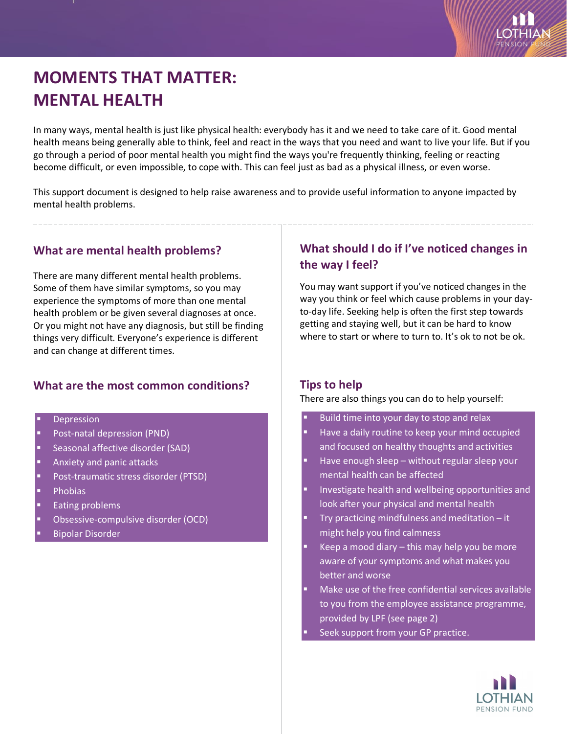

# **MOMENTS THAT MATTER: MENTAL HEALTH**

In many ways, mental health is just like physical health: everybody has it and we need to take care of it. Good mental health means being generally able to think, feel and react in the ways that you need and want to live your life. But if you go through a period of poor mental health you might find the ways you're frequently thinking, feeling or reacting become difficult, or even impossible, to cope with. This can feel just as bad as a physical illness, or even worse.

This support document is designed to help raise awareness and to provide useful information to anyone impacted by mental health problems.

#### **What are mental health problems?**

There are many different mental health problems. Some of them have similar symptoms, so you may experience the symptoms of more than one mental health problem or be given several diagnoses at once. Or you might not have any diagnosis, but still be finding things very difficult. Everyone's experience is different and can change at different times.

## **What are the most common conditions?**

- **Depression**
- Post-natal depression (PND)
- Seasonal affective disorder (SAD)
- Anxiety and panic attacks
- Post-traumatic stress disorder (PTSD)
- **Phobias**
- Eating problems
- Obsessive-compulsive disorder (OCD)
- Bipolar Disorder

# **What should I do if I've noticed changes in the way I feel?**

You may want support if you've noticed changes in the way you think or feel which cause problems in your dayto-day life. Seeking help is often the first step towards getting and staying well, but it can be hard to know where to start or where to turn to. It's ok to not be ok.

## **Tips to help**

#### There are also things you can do to help yourself:

- Build time into your day to stop and relax
- Have a daily routine to keep your mind occupied and focused on healthy thoughts and activities
- Have enough sleep without regular sleep your mental health can be affected
- Investigate health and wellbeing opportunities and look after your physical and mental health
- Try practicing mindfulness and meditation it might help you find calmness
- Keep a mood diary this may help you be more aware of your symptoms and what makes you better and worse
- Make use of the free confidential services available to you from the employee assistance programme, provided by LPF (see page 2)
	- Seek support from your GP practice.